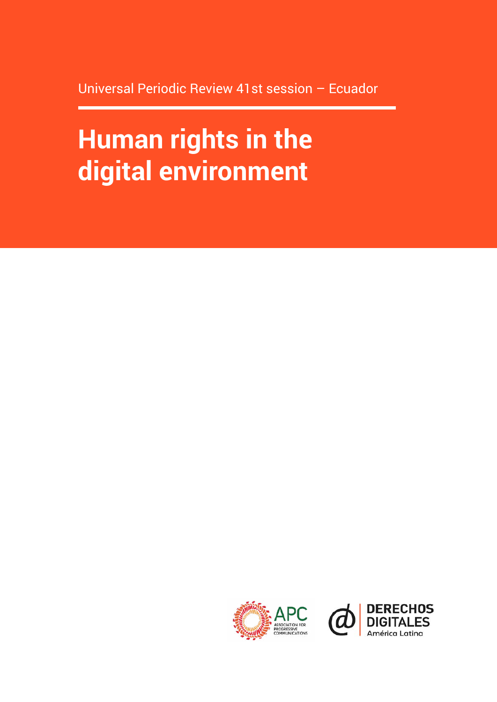Universal Periodic Review 41st session – Ecuador

# **Human rights in the digital environment**



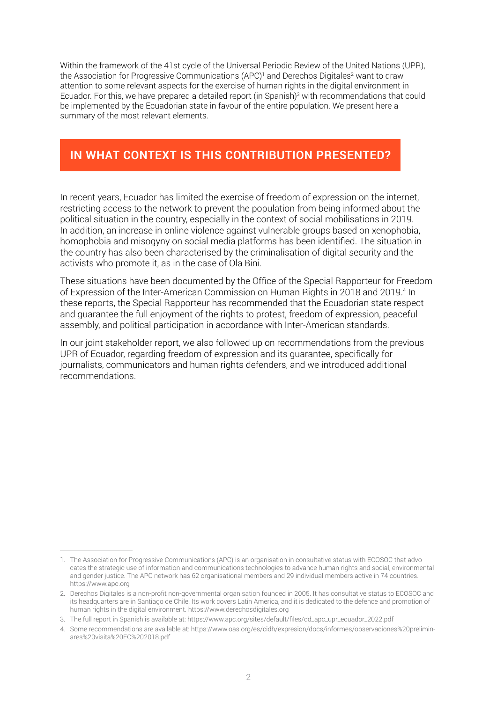Within the framework of the 41st cycle of the Universal Periodic Review of the United Nations (UPR), the Association for Progressive Communications (APC)<sup>1</sup> and Derechos Digitales<sup>2</sup> want to draw attention to some relevant aspects for the exercise of human rights in the digital environment in Ecuador. For this, we have prepared a detailed report (in Spanish)<sup>3</sup> with recommendations that could be implemented by the Ecuadorian state in favour of the entire population. We present here a summary of the most relevant elements.

# **IN WHAT CONTEXT IS THIS CONTRIBUTION PRESENTED?**

In recent years, Ecuador has limited the exercise of freedom of expression on the internet, restricting access to the network to prevent the population from being informed about the political situation in the country, especially in the context of social mobilisations in 2019. In addition, an increase in online violence against vulnerable groups based on xenophobia, homophobia and misogyny on social media platforms has been identified. The situation in the country has also been characterised by the criminalisation of digital security and the activists who promote it, as in the case of Ola Bini.

These situations have been documented by the Office of the Special Rapporteur for Freedom of Expression of the Inter-American Commission on Human Rights in 2018 and 2019.<sup>4</sup> In these reports, the Special Rapporteur has recommended that the Ecuadorian state respect and guarantee the full enjoyment of the rights to protest, freedom of expression, peaceful assembly, and political participation in accordance with Inter-American standards.

In our joint stakeholder report, we also followed up on recommendations from the previous UPR of Ecuador, regarding freedom of expression and its guarantee, specifically for journalists, communicators and human rights defenders, and we introduced additional recommendations.

<sup>1.</sup> The Association for Progressive Communications (APC) is an organisation in consultative status with ECOSOC that advocates the strategic use of information and communications technologies to advance human rights and social, environmental and gender justice. The APC network has 62 organisational members and 29 individual members active in 74 countries. <https://www.apc.org>

<sup>2.</sup> Derechos Digitales is a non-profit non-governmental organisation founded in 2005. It has consultative status to ECOSOC and its headquarters are in Santiago de Chile. Its work covers Latin America, and it is dedicated to the defence and promotion of human rights in the digital environment. https://www.derechosdigitales.org

<sup>3.</sup> The full report in Spanish is available at: [https://www.apc.org/sites/default/files/dd\\_apc\\_upr\\_ecuador\\_2022.pdf](https://www.apc.org/sites/default/files/dd_apc_upr_ecuador_2022.pdf) 

<sup>4.</sup> Some recommendations are available at: [https://www.oas.org/es/cidh/expresion/docs/informes/observaciones%20prelimin](https://www.oas.org/es/cidh/expresion/docs/informes/observaciones%20preliminares%20visita%20EC%202018.pdf)[ares%20visita%20EC%202018.pdf](https://www.oas.org/es/cidh/expresion/docs/informes/observaciones%20preliminares%20visita%20EC%202018.pdf)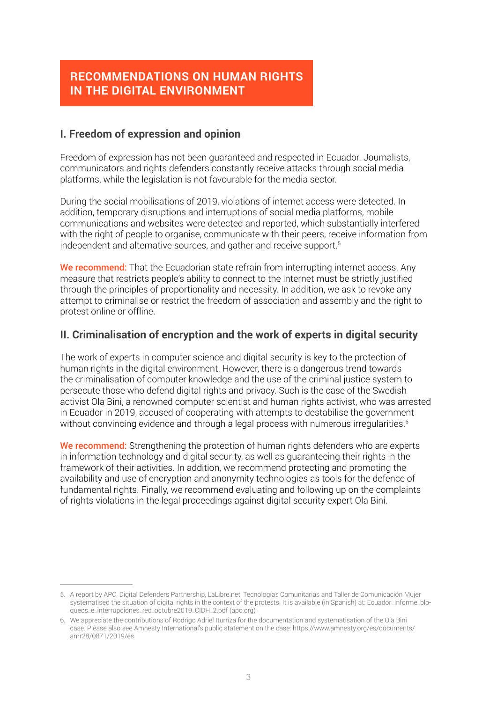# **RECOMMENDATIONS ON HUMAN RIGHTS IN THE DIGITAL ENVIRONMENT**

## **I. Freedom of expression and opinion**

Freedom of expression has not been guaranteed and respected in Ecuador. Journalists, communicators and rights defenders constantly receive attacks through social media platforms, while the legislation is not favourable for the media sector.

During the social mobilisations of 2019, violations of internet access were detected. In addition, temporary disruptions and interruptions of social media platforms, mobile communications and websites were detected and reported, which substantially interfered with the right of people to organise, communicate with their peers, receive information from independent and alternative sources, and gather and receive support.<sup>5</sup>

We recommend: That the Ecuadorian state refrain from interrupting internet access. Any measure that restricts people's ability to connect to the internet must be strictly justified through the principles of proportionality and necessity. In addition, we ask to revoke any attempt to criminalise or restrict the freedom of association and assembly and the right to protest online or offline.

#### **II. Criminalisation of encryption and the work of experts in digital security**

The work of experts in computer science and digital security is key to the protection of human rights in the digital environment. However, there is a dangerous trend towards the criminalisation of computer knowledge and the use of the criminal justice system to persecute those who defend digital rights and privacy. Such is the case of the Swedish activist Ola Bini, a renowned computer scientist and human rights activist, who was arrested in Ecuador in 2019, accused of cooperating with attempts to destabilise the government without convincing evidence and through a legal process with numerous irregularities.<sup>6</sup>

We recommend: Strengthening the protection of human rights defenders who are experts in information technology and digital security, as well as guaranteeing their rights in the framework of their activities. In addition, we recommend protecting and promoting the availability and use of encryption and anonymity technologies as tools for the defence of fundamental rights. Finally, we recommend evaluating and following up on the complaints of rights violations in the legal proceedings against digital security expert Ola Bini.

<sup>5.</sup> A report by APC, Digital Defenders Partnership, LaLibre.net, Tecnologías Comunitarias and Taller de Comunicación Mujer systematised the situation of digital rights in the context of the protests. It is available (in Spanish) at: [Ecuador\\_Informe\\_blo](https://www.apc.org/sites/default/files/Ecuador_Informe_bloqueos_e_interrupciones_red_octubre2019_CIDH_2.pdf)[queos\\_e\\_interrupciones\\_red\\_octubre2019\\_CIDH\\_2.pdf \(apc.org\)](https://www.apc.org/sites/default/files/Ecuador_Informe_bloqueos_e_interrupciones_red_octubre2019_CIDH_2.pdf)

<sup>6.</sup> We appreciate the contributions of Rodrigo Adriel Iturriza for the documentation and systematisation of the Ola Bini case. Please also see Amnesty International's public statement on the case: [https://www.amnesty.org/es/documents/](https://www.amnesty.org/es/documents/amr28/0871/2019/es/) [amr28/0871/2019/es](https://www.amnesty.org/es/documents/amr28/0871/2019/es/)